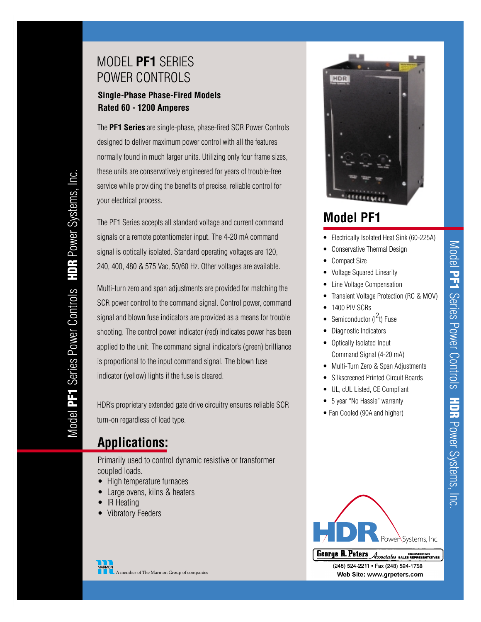## MODEL **PF1** SERIES POWER CONTROLS

#### **Single-Phase Phase-Fired Models Rated 60 - 1200 Amperes**

The **PF1 Series** are single-phase, phase-fired SCR Power Controls designed to deliver maximum power control with all the features normally found in much larger units. Utilizing only four frame sizes, these units are conservatively engineered for years of trouble-free service while providing the benefits of precise, reliable control for your electrical process.

The PF1 Series accepts all standard voltage and current command signals or a remote potentiometer input. The 4-20 mA command signal is optically isolated. Standard operating voltages are 120, 240, 400, 480 & 575 Vac, 50/60 Hz. Other voltages are available.

Multi-turn zero and span adjustments are provided for matching the SCR power control to the command signal. Control power, command signal and blown fuse indicators are provided as a means for trouble shooting. The control power indicator (red) indicates power has been applied to the unit. The command signal indicator's (green) brilliance is proportional to the input command signal. The blown fuse indicator (yellow) lights if the fuse is cleared.

HDR's proprietary extended gate drive circuitry ensures reliable SCR turn-on regardless of load type.

## **Applications:**

Primarily used to control dynamic resistive or transformer coupled loads.

- High temperature furnaces
- Large ovens, kilns & heaters
- IR Heating
- Vibratory Feeders



# **Model PF1**

- Electrically Isolated Heat Sink (60-225A)
	- Conservative Thermal Design
- Compact Size
- Voltage Squared Linearity
- Line Voltage Compensation
- Transient Voltage Protection (RC & MOV)
	- 1400 PIV SCRs
- Semiconductor  $(l^2t)$  Fuse
- Diagnostic Indicators
- Optically Isolated Input Command Signal (4-20 mA)
- Multi-Turn Zero & Span Adjustments
- Silkscreened Printed Circuit Boards
- UL, cUL Listed, CE Compliant
- 5 year "No Hassle" warranty
- Fan Cooled (90A and higher)



**George R. Peters** *Associates* SALES REPRESENTATIVE<br>(248) 524-2211 • Fax (248) 524-1758 Web Site: www.grpeters.com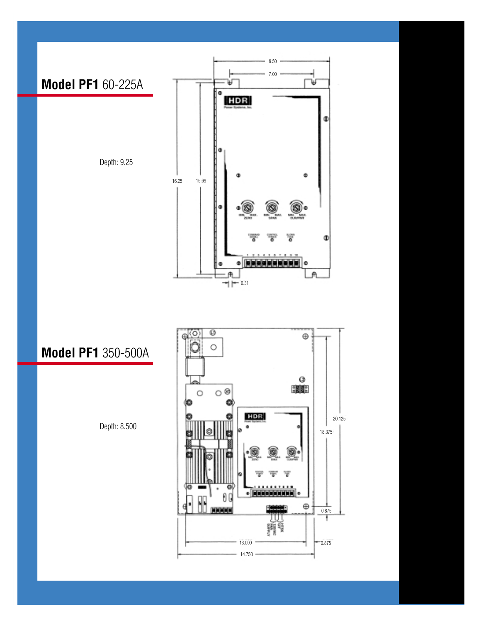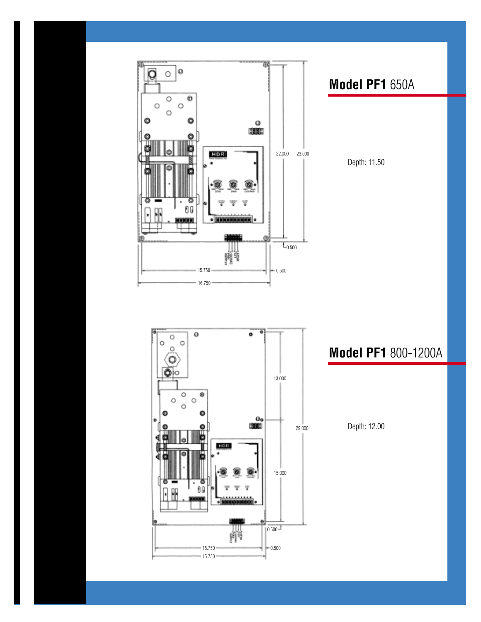

## **Model PF1** 650A

Depth: 11.50

 $\mathbf 0$  $\bullet$ O  $\circ$ ö  $\circ$ ö ô۱۰ 13.000 ø O Ō O Ō o  $\frac{O_{\Phi}}{3000}$ 29.000 HDR. 15.000 78<br>მც u <u>.........</u>  $\Big| 0.500 \frac{1}{2} \Big|$ 卵 15.750  $-0.500$  $16.750$ 

### **Model PF1** 800-1200A

Depth: 12.00